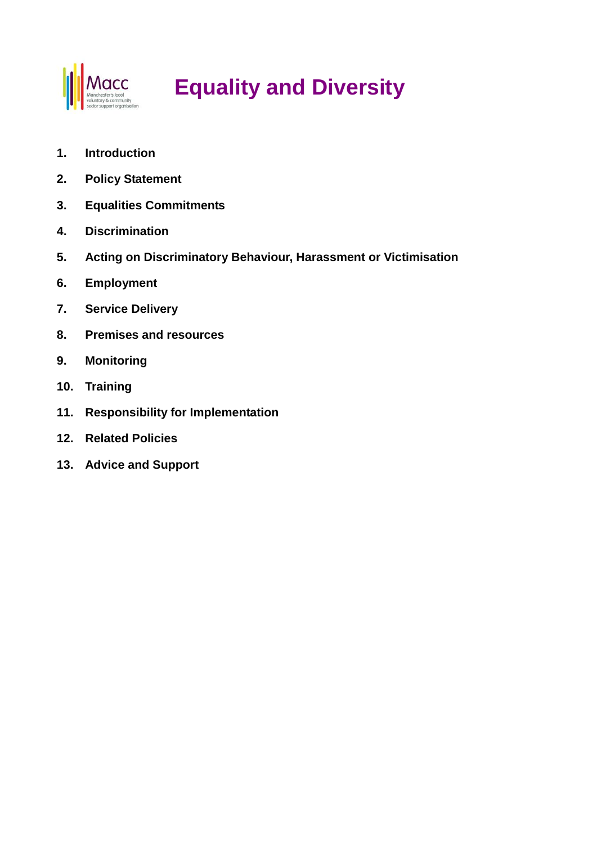

# **Equality and Diversity**

- **1. Introduction**
- **2. Policy Statement**
- **3. Equalities Commitments**
- **4. Discrimination**
- **5. Acting on Discriminatory Behaviour, Harassment or Victimisation**
- **6. Employment**
- **7. Service Delivery**
- **8. Premises and resources**
- **9. Monitoring**
- **10. Training**
- **11. Responsibility for Implementation**
- **12. Related Policies**
- **13. Advice and Support**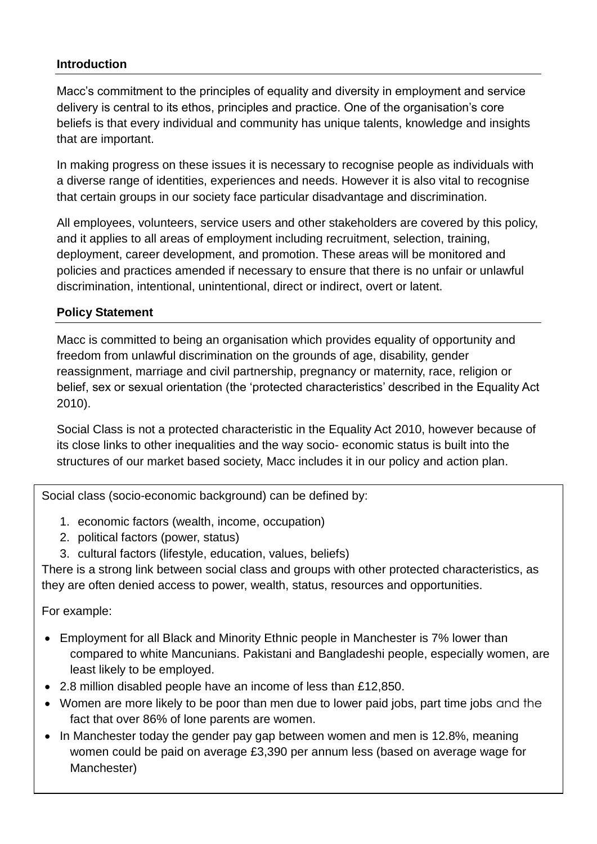# **Introduction**

Macc's commitment to the principles of equality and diversity in employment and service delivery is central to its ethos, principles and practice. One of the organisation's core beliefs is that every individual and community has unique talents, knowledge and insights that are important.

In making progress on these issues it is necessary to recognise people as individuals with a diverse range of identities, experiences and needs. However it is also vital to recognise that certain groups in our society face particular disadvantage and discrimination.

All employees, volunteers, service users and other stakeholders are covered by this policy, and it applies to all areas of employment including recruitment, selection, training, deployment, career development, and promotion. These areas will be monitored and policies and practices amended if necessary to ensure that there is no unfair or unlawful discrimination, intentional, unintentional, direct or indirect, overt or latent.

# **Policy Statement**

Macc is committed to being an organisation which provides equality of opportunity and freedom from unlawful discrimination on the grounds of age, disability, gender reassignment, marriage and civil partnership, pregnancy or maternity, race, religion or belief, sex or sexual orientation (the 'protected characteristics' described in the Equality Act 2010).

Social Class is not a protected characteristic in the Equality Act 2010, however because of its close links to other inequalities and the way socio- economic status is built into the structures of our market based society, Macc includes it in our policy and action plan.

Social class (socio-economic background) can be defined by:

- 1. economic factors (wealth, income, occupation)
- 2. political factors (power, status)
- 3. cultural factors (lifestyle, education, values, beliefs)

There is a strong link between social class and groups with other protected characteristics, as they are often denied access to power, wealth, status, resources and opportunities.

#### For example:

- Employment for all Black and Minority Ethnic people in Manchester is 7% lower than compared to white Mancunians. Pakistani and Bangladeshi people, especially women, are least likely to be employed.
- 2.8 million disabled people have an income of less than £12,850.
- Women are more likely to be poor than men due to lower paid jobs, part time jobs and the fact that over 86% of lone parents are women.
- In Manchester today the gender pay gap between women and men is 12.8%, meaning women could be paid on average £3,390 per annum less (based on average wage for Manchester)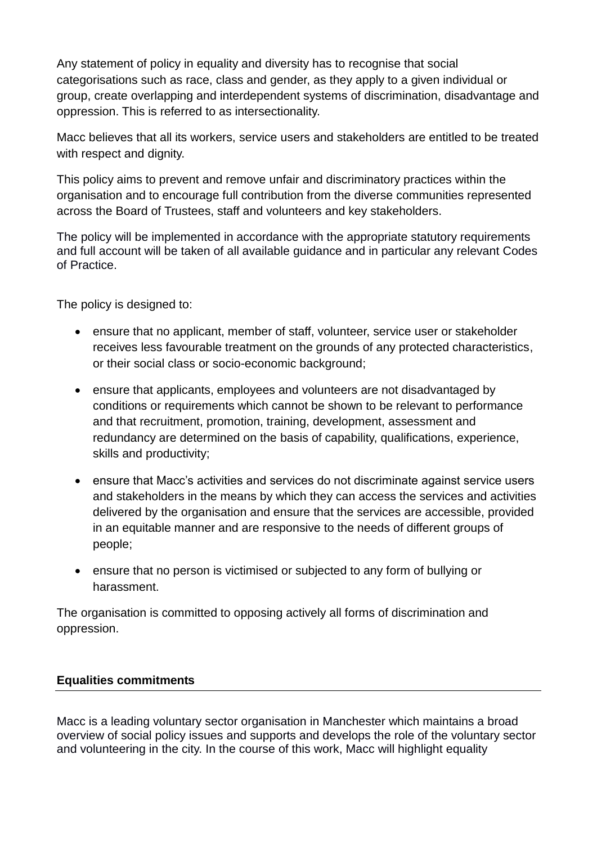Any statement of policy in equality and diversity has to recognise that social categorisations such as race, class and gender, as they apply to a given individual or group, create overlapping and interdependent systems of discrimination, disadvantage and oppression. This is referred to as intersectionality.

Macc believes that all its workers, service users and stakeholders are entitled to be treated with respect and dignity.

This policy aims to prevent and remove unfair and discriminatory practices within the organisation and to encourage full contribution from the diverse communities represented across the Board of Trustees, staff and volunteers and key stakeholders.

The policy will be implemented in accordance with the appropriate statutory requirements and full account will be taken of all available guidance and in particular any relevant Codes of Practice.

The policy is designed to:

- ensure that no applicant, member of staff, volunteer, service user or stakeholder receives less favourable treatment on the grounds of any protected characteristics, or their social class or socio-economic background;
- ensure that applicants, employees and volunteers are not disadvantaged by conditions or requirements which cannot be shown to be relevant to performance and that recruitment, promotion, training, development, assessment and redundancy are determined on the basis of capability, qualifications, experience, skills and productivity;
- ensure that Macc's activities and services do not discriminate against service users and stakeholders in the means by which they can access the services and activities delivered by the organisation and ensure that the services are accessible, provided in an equitable manner and are responsive to the needs of different groups of people;
- ensure that no person is victimised or subjected to any form of bullying or harassment.

The organisation is committed to opposing actively all forms of discrimination and oppression.

# **Equalities commitments**

Macc is a leading voluntary sector organisation in Manchester which maintains a broad overview of social policy issues and supports and develops the role of the voluntary sector and volunteering in the city. In the course of this work, Macc will highlight equality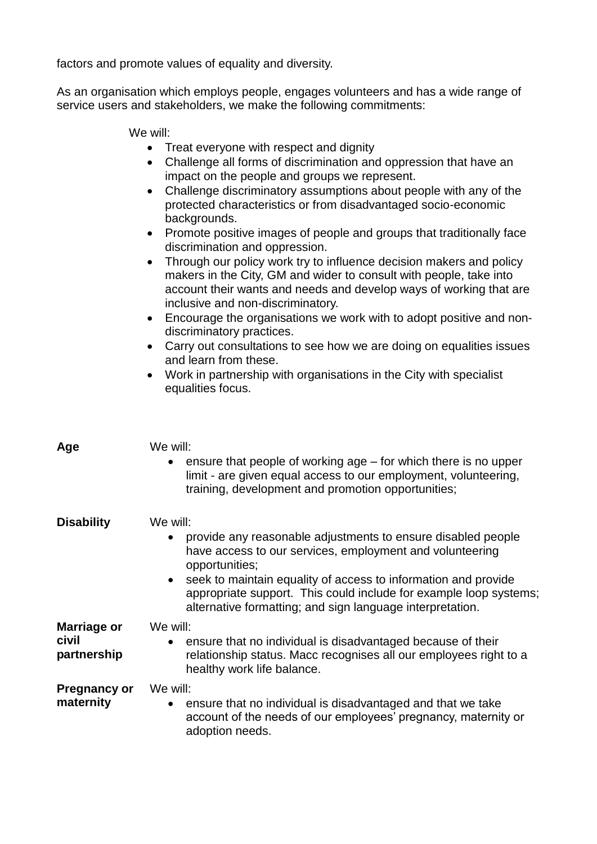factors and promote values of equality and diversity.

As an organisation which employs people, engages volunteers and has a wide range of service users and stakeholders, we make the following commitments:

We will:

- Treat everyone with respect and dignity
- Challenge all forms of discrimination and oppression that have an impact on the people and groups we represent.
- Challenge discriminatory assumptions about people with any of the protected characteristics or from disadvantaged socio-economic backgrounds.
- Promote positive images of people and groups that traditionally face discrimination and oppression.
- Through our policy work try to influence decision makers and policy makers in the City, GM and wider to consult with people, take into account their wants and needs and develop ways of working that are inclusive and non-discriminatory.
- Encourage the organisations we work with to adopt positive and nondiscriminatory practices.
- Carry out consultations to see how we are doing on equalities issues and learn from these.
- Work in partnership with organisations in the City with specialist equalities focus.

| Age                  | We will:                                                                                                                                                                                                      |  |  |
|----------------------|---------------------------------------------------------------------------------------------------------------------------------------------------------------------------------------------------------------|--|--|
|                      | ensure that people of working age – for which there is no upper<br>$\bullet$<br>limit - are given equal access to our employment, volunteering,<br>training, development and promotion opportunities;         |  |  |
| <b>Disability</b>    | We will:<br>provide any reasonable adjustments to ensure disabled people<br>$\bullet$<br>have access to our services, employment and volunteering<br>opportunities;                                           |  |  |
|                      | seek to maintain equality of access to information and provide<br>$\bullet$<br>appropriate support. This could include for example loop systems;<br>alternative formatting; and sign language interpretation. |  |  |
| Marriage or          | We will:                                                                                                                                                                                                      |  |  |
| civil<br>partnership | ensure that no individual is disadvantaged because of their<br>$\bullet$<br>relationship status. Macc recognises all our employees right to a<br>healthy work life balance.                                   |  |  |
| <b>Pregnancy or</b>  | We will:                                                                                                                                                                                                      |  |  |
| maternity            | ensure that no individual is disadvantaged and that we take<br>$\bullet$<br>account of the needs of our employees' pregnancy, maternity or<br>adoption needs.                                                 |  |  |
|                      |                                                                                                                                                                                                               |  |  |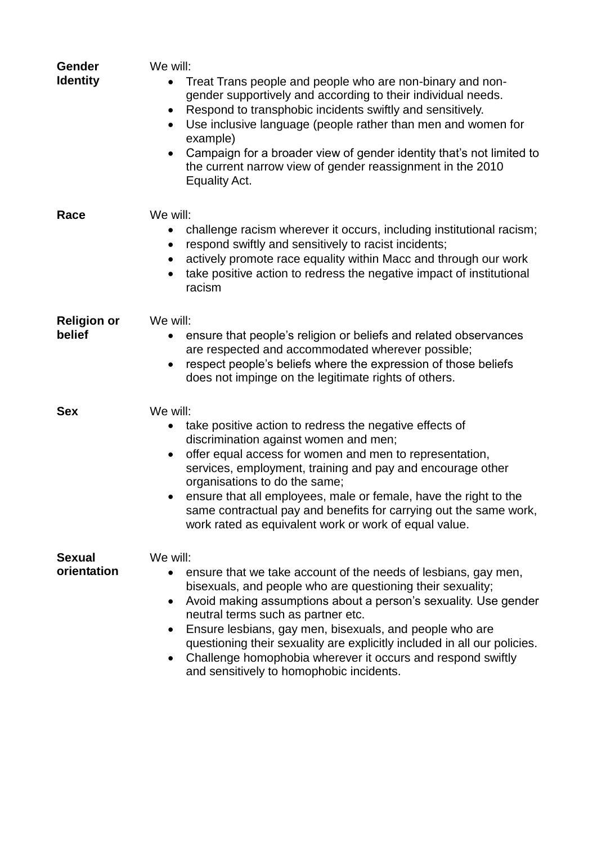| Gender<br><b>Identity</b>    | We will:<br>Treat Trans people and people who are non-binary and non-<br>$\bullet$<br>gender supportively and according to their individual needs.<br>Respond to transphobic incidents swiftly and sensitively.<br>$\bullet$<br>Use inclusive language (people rather than men and women for<br>$\bullet$<br>example)<br>Campaign for a broader view of gender identity that's not limited to<br>$\bullet$<br>the current narrow view of gender reassignment in the 2010<br>Equality Act.                                                  |
|------------------------------|--------------------------------------------------------------------------------------------------------------------------------------------------------------------------------------------------------------------------------------------------------------------------------------------------------------------------------------------------------------------------------------------------------------------------------------------------------------------------------------------------------------------------------------------|
| Race                         | We will:<br>challenge racism wherever it occurs, including institutional racism;<br>respond swiftly and sensitively to racist incidents;<br>$\bullet$<br>actively promote race equality within Macc and through our work<br>$\bullet$<br>take positive action to redress the negative impact of institutional<br>$\bullet$<br>racism                                                                                                                                                                                                       |
| <b>Religion or</b><br>belief | We will:<br>ensure that people's religion or beliefs and related observances<br>are respected and accommodated wherever possible;<br>respect people's beliefs where the expression of those beliefs<br>$\bullet$<br>does not impinge on the legitimate rights of others.                                                                                                                                                                                                                                                                   |
| <b>Sex</b>                   | We will:<br>take positive action to redress the negative effects of<br>$\bullet$<br>discrimination against women and men;<br>offer equal access for women and men to representation,<br>$\bullet$<br>services, employment, training and pay and encourage other<br>organisations to do the same;<br>ensure that all employees, male or female, have the right to the<br>same contractual pay and benefits for carrying out the same work,<br>work rated as equivalent work or work of equal value.                                         |
| <b>Sexual</b><br>orientation | We will:<br>ensure that we take account of the needs of lesbians, gay men,<br>bisexuals, and people who are questioning their sexuality;<br>Avoid making assumptions about a person's sexuality. Use gender<br>$\bullet$<br>neutral terms such as partner etc.<br>Ensure lesbians, gay men, bisexuals, and people who are<br>$\bullet$<br>questioning their sexuality are explicitly included in all our policies.<br>Challenge homophobia wherever it occurs and respond swiftly<br>$\bullet$<br>and sensitively to homophobic incidents. |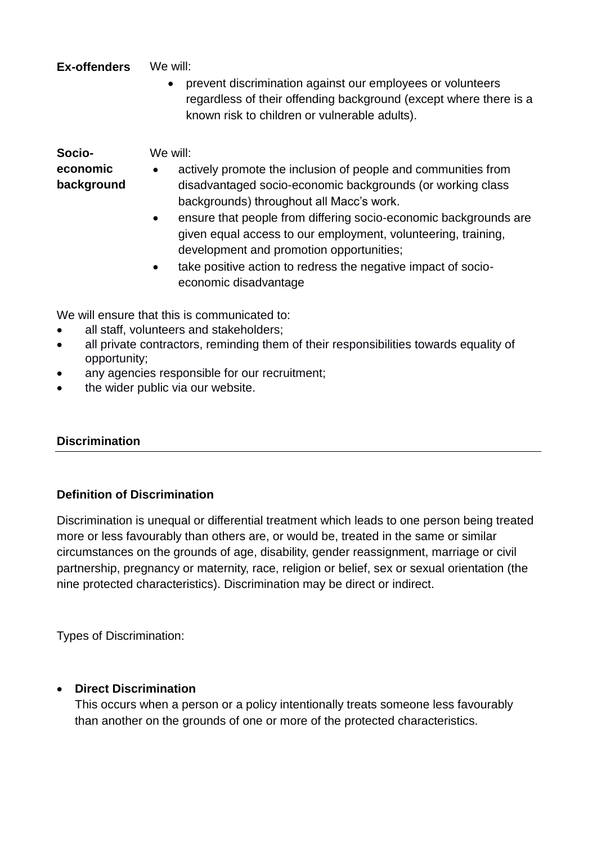**Ex-offenders** We will:

 prevent discrimination against our employees or volunteers regardless of their offending background (except where there is a known risk to children or vulnerable adults).

**Socioeconomic** 

- **background**
- actively promote the inclusion of people and communities from disadvantaged socio-economic backgrounds (or working class backgrounds) throughout all Macc's work.
- ensure that people from differing socio-economic backgrounds are given equal access to our employment, volunteering, training, development and promotion opportunities;
- take positive action to redress the negative impact of socioeconomic disadvantage

We will ensure that this is communicated to:

all staff, volunteers and stakeholders;

We will:

- all private contractors, reminding them of their responsibilities towards equality of opportunity;
- any agencies responsible for our recruitment;
- the wider public via our website.

# **Discrimination**

# **Definition of Discrimination**

Discrimination is unequal or differential treatment which leads to one person being treated more or less favourably than others are, or would be, treated in the same or similar circumstances on the grounds of age, disability, gender reassignment, marriage or civil partnership, pregnancy or maternity, race, religion or belief, sex or sexual orientation (the nine protected characteristics). Discrimination may be direct or indirect.

Types of Discrimination:

# **Direct Discrimination**

This occurs when a person or a policy intentionally treats someone less favourably than another on the grounds of one or more of the protected characteristics.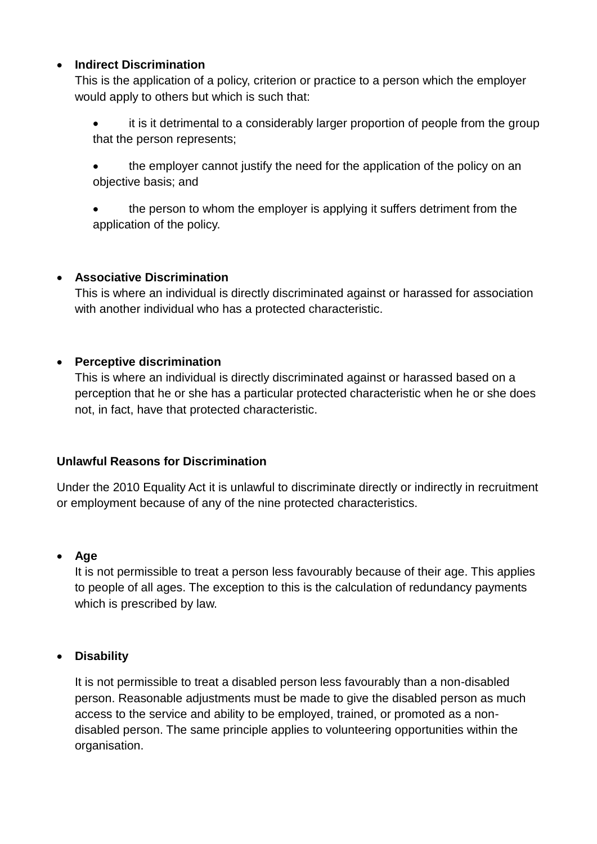# **Indirect Discrimination**

This is the application of a policy, criterion or practice to a person which the employer would apply to others but which is such that:

- it is it detrimental to a considerably larger proportion of people from the group that the person represents;
- the employer cannot justify the need for the application of the policy on an objective basis; and
- the person to whom the employer is applying it suffers detriment from the application of the policy.

# **Associative Discrimination**

This is where an individual is directly discriminated against or harassed for association with another individual who has a protected characteristic.

# **Perceptive discrimination**

This is where an individual is directly discriminated against or harassed based on a perception that he or she has a particular protected characteristic when he or she does not, in fact, have that protected characteristic.

# **Unlawful Reasons for Discrimination**

Under the 2010 Equality Act it is unlawful to discriminate directly or indirectly in recruitment or employment because of any of the nine protected characteristics.

# **Age**

It is not permissible to treat a person less favourably because of their age. This applies to people of all ages. The exception to this is the calculation of redundancy payments which is prescribed by law.

# **Disability**

It is not permissible to treat a disabled person less favourably than a non-disabled person. Reasonable adjustments must be made to give the disabled person as much access to the service and ability to be employed, trained, or promoted as a nondisabled person. The same principle applies to volunteering opportunities within the organisation.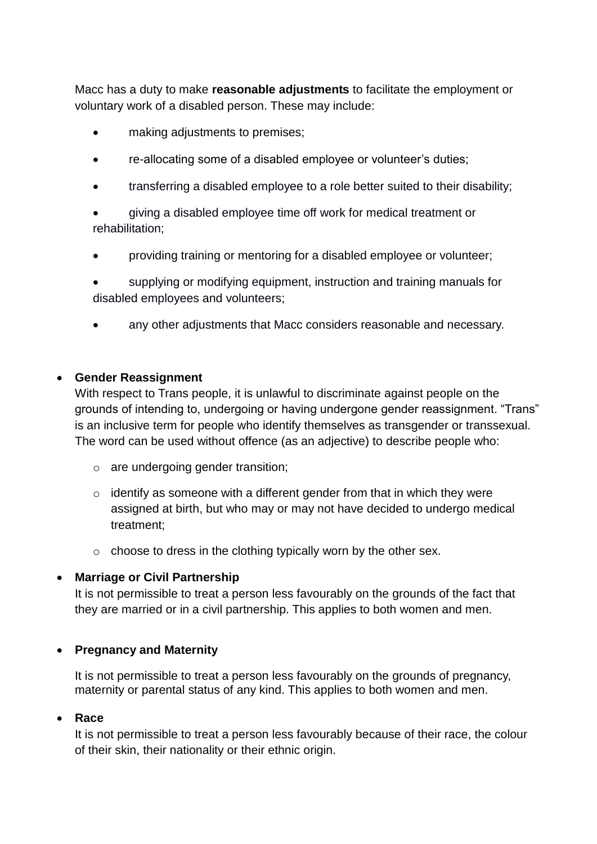Macc has a duty to make **reasonable adjustments** to facilitate the employment or voluntary work of a disabled person. These may include:

- making adjustments to premises;
- re-allocating some of a disabled employee or volunteer's duties;
- transferring a disabled employee to a role better suited to their disability;
- giving a disabled employee time off work for medical treatment or rehabilitation;
- providing training or mentoring for a disabled employee or volunteer;
- supplying or modifying equipment, instruction and training manuals for disabled employees and volunteers;
- any other adjustments that Macc considers reasonable and necessary.

#### **Gender Reassignment**

With respect to Trans people, it is unlawful to discriminate against people on the grounds of intending to, undergoing or having undergone gender reassignment. "Trans" is an inclusive term for people who identify themselves as transgender or transsexual. The word can be used without offence (as an adjective) to describe people who:

- o are undergoing gender transition;
- $\circ$  identify as someone with a different gender from that in which they were assigned at birth, but who may or may not have decided to undergo medical treatment;
- $\circ$  choose to dress in the clothing typically worn by the other sex.

# **Marriage or Civil Partnership**

It is not permissible to treat a person less favourably on the grounds of the fact that they are married or in a civil partnership. This applies to both women and men.

# **Pregnancy and Maternity**

It is not permissible to treat a person less favourably on the grounds of pregnancy, maternity or parental status of any kind. This applies to both women and men.

# **Race**

It is not permissible to treat a person less favourably because of their race, the colour of their skin, their nationality or their ethnic origin.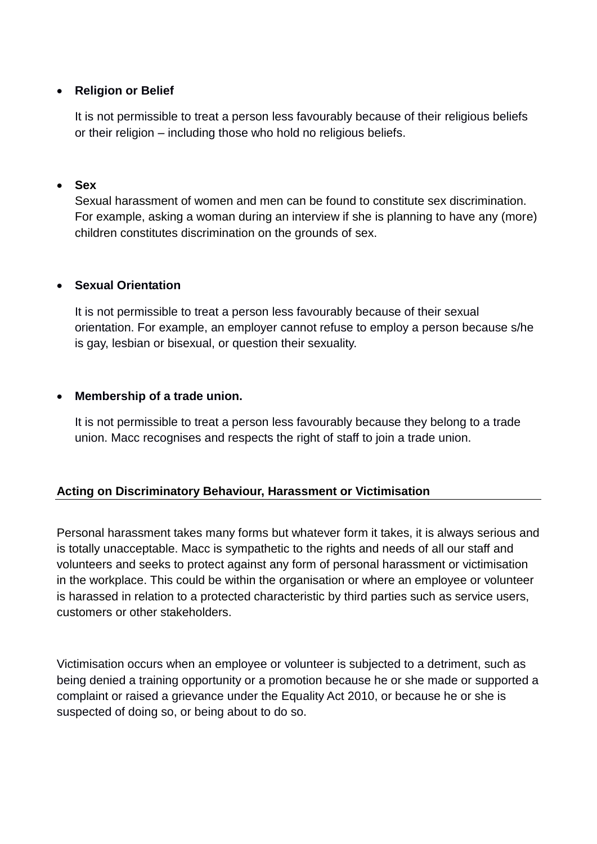### **Religion or Belief**

It is not permissible to treat a person less favourably because of their religious beliefs or their religion – including those who hold no religious beliefs.

#### **Sex**

Sexual harassment of women and men can be found to constitute sex discrimination. For example, asking a woman during an interview if she is planning to have any (more) children constitutes discrimination on the grounds of sex.

#### **Sexual Orientation**

It is not permissible to treat a person less favourably because of their sexual orientation. For example, an employer cannot refuse to employ a person because s/he is gay, lesbian or bisexual, or question their sexuality.

#### **Membership of a trade union.**

It is not permissible to treat a person less favourably because they belong to a trade union. Macc recognises and respects the right of staff to join a trade union.

# **Acting on Discriminatory Behaviour, Harassment or Victimisation**

Personal harassment takes many forms but whatever form it takes, it is always serious and is totally unacceptable. Macc is sympathetic to the rights and needs of all our staff and volunteers and seeks to protect against any form of personal harassment or victimisation in the workplace. This could be within the organisation or where an employee or volunteer is harassed in relation to a protected characteristic by third parties such as service users, customers or other stakeholders.

Victimisation occurs when an employee or volunteer is subjected to a detriment, such as being denied a training opportunity or a promotion because he or she made or supported a complaint or raised a grievance under the Equality Act 2010, or because he or she is suspected of doing so, or being about to do so.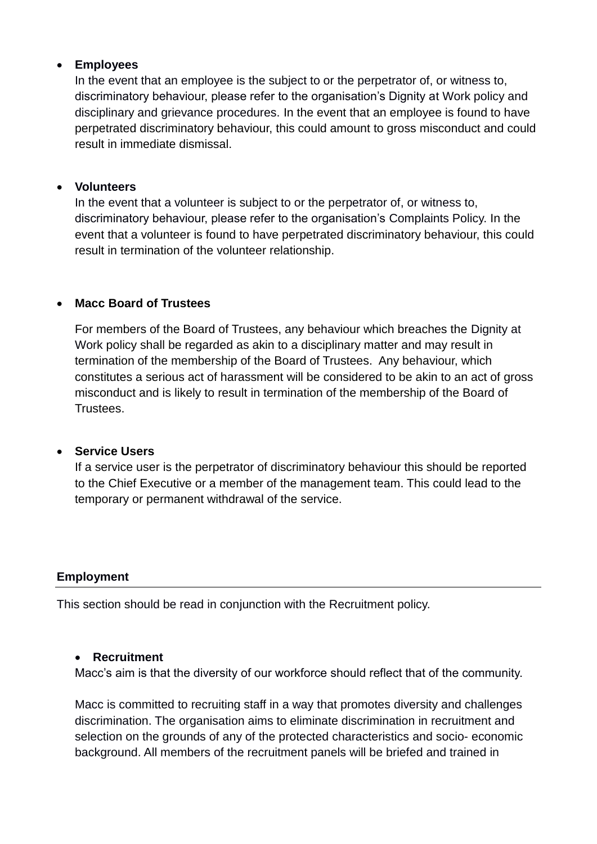### **Employees**

In the event that an employee is the subject to or the perpetrator of, or witness to, discriminatory behaviour, please refer to the organisation's Dignity at Work policy and disciplinary and grievance procedures. In the event that an employee is found to have perpetrated discriminatory behaviour, this could amount to gross misconduct and could result in immediate dismissal.

#### **Volunteers**

In the event that a volunteer is subject to or the perpetrator of, or witness to, discriminatory behaviour, please refer to the organisation's Complaints Policy. In the event that a volunteer is found to have perpetrated discriminatory behaviour, this could result in termination of the volunteer relationship.

#### **Macc Board of Trustees**

For members of the Board of Trustees, any behaviour which breaches the Dignity at Work policy shall be regarded as akin to a disciplinary matter and may result in termination of the membership of the Board of Trustees. Any behaviour, which constitutes a serious act of harassment will be considered to be akin to an act of gross misconduct and is likely to result in termination of the membership of the Board of **Trustees** 

#### **Service Users**

If a service user is the perpetrator of discriminatory behaviour this should be reported to the Chief Executive or a member of the management team. This could lead to the temporary or permanent withdrawal of the service.

# **Employment**

This section should be read in conjunction with the Recruitment policy.

#### **Recruitment**

Macc's aim is that the diversity of our workforce should reflect that of the community.

Macc is committed to recruiting staff in a way that promotes diversity and challenges discrimination. The organisation aims to eliminate discrimination in recruitment and selection on the grounds of any of the protected characteristics and socio- economic background. All members of the recruitment panels will be briefed and trained in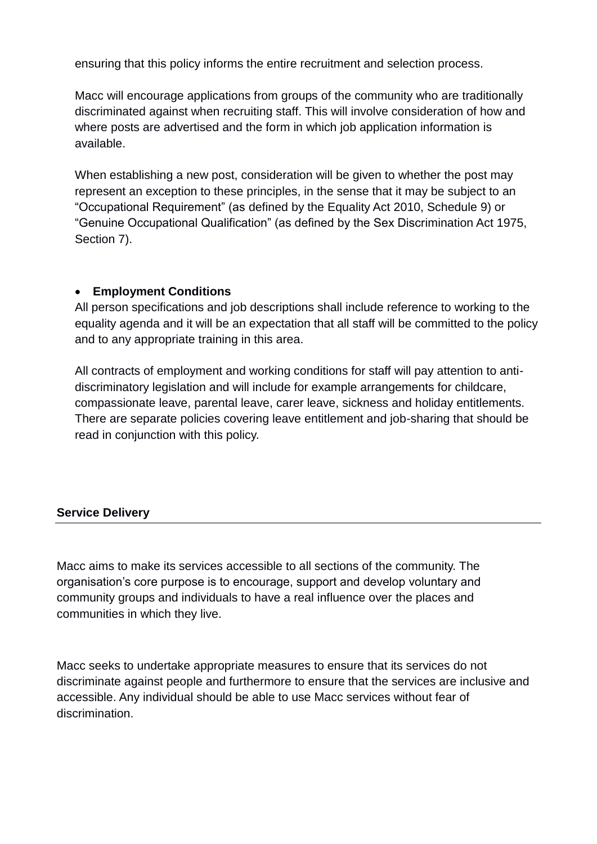ensuring that this policy informs the entire recruitment and selection process.

Macc will encourage applications from groups of the community who are traditionally discriminated against when recruiting staff. This will involve consideration of how and where posts are advertised and the form in which job application information is available.

When establishing a new post, consideration will be given to whether the post may represent an exception to these principles, in the sense that it may be subject to an "Occupational Requirement" (as defined by the Equality Act 2010, Schedule 9) or "Genuine Occupational Qualification" (as defined by the Sex Discrimination Act 1975, Section 7).

# **Employment Conditions**

All person specifications and job descriptions shall include reference to working to the equality agenda and it will be an expectation that all staff will be committed to the policy and to any appropriate training in this area.

All contracts of employment and working conditions for staff will pay attention to antidiscriminatory legislation and will include for example arrangements for childcare, compassionate leave, parental leave, carer leave, sickness and holiday entitlements. There are separate policies covering leave entitlement and job-sharing that should be read in conjunction with this policy.

# **Service Delivery**

Macc aims to make its services accessible to all sections of the community. The organisation's core purpose is to encourage, support and develop voluntary and community groups and individuals to have a real influence over the places and communities in which they live.

Macc seeks to undertake appropriate measures to ensure that its services do not discriminate against people and furthermore to ensure that the services are inclusive and accessible. Any individual should be able to use Macc services without fear of discrimination.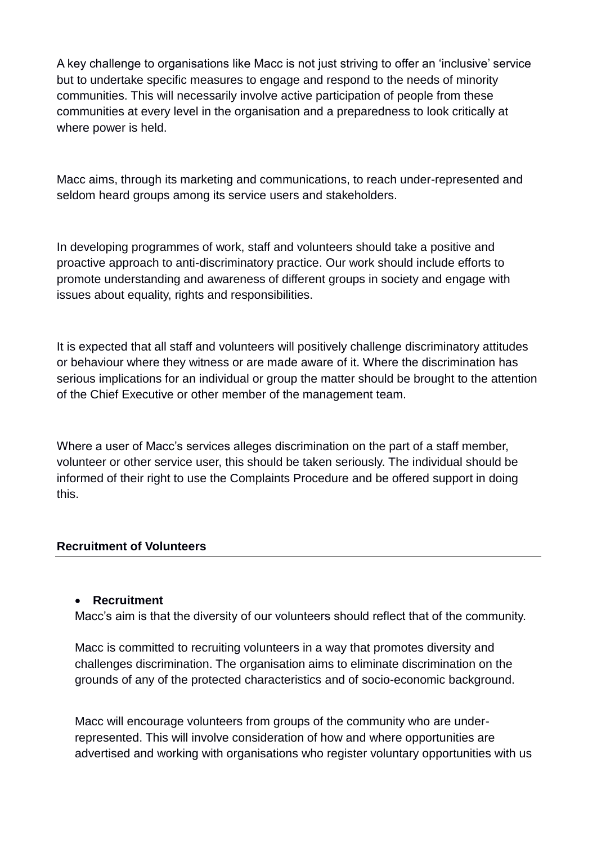A key challenge to organisations like Macc is not just striving to offer an 'inclusive' service but to undertake specific measures to engage and respond to the needs of minority communities. This will necessarily involve active participation of people from these communities at every level in the organisation and a preparedness to look critically at where power is held.

Macc aims, through its marketing and communications, to reach under-represented and seldom heard groups among its service users and stakeholders.

In developing programmes of work, staff and volunteers should take a positive and proactive approach to anti-discriminatory practice. Our work should include efforts to promote understanding and awareness of different groups in society and engage with issues about equality, rights and responsibilities.

It is expected that all staff and volunteers will positively challenge discriminatory attitudes or behaviour where they witness or are made aware of it. Where the discrimination has serious implications for an individual or group the matter should be brought to the attention of the Chief Executive or other member of the management team.

Where a user of Macc's services alleges discrimination on the part of a staff member, volunteer or other service user, this should be taken seriously. The individual should be informed of their right to use the Complaints Procedure and be offered support in doing this.

#### **Recruitment of Volunteers**

#### **Recruitment**

Macc's aim is that the diversity of our volunteers should reflect that of the community.

Macc is committed to recruiting volunteers in a way that promotes diversity and challenges discrimination. The organisation aims to eliminate discrimination on the grounds of any of the protected characteristics and of socio-economic background.

Macc will encourage volunteers from groups of the community who are underrepresented. This will involve consideration of how and where opportunities are advertised and working with organisations who register voluntary opportunities with us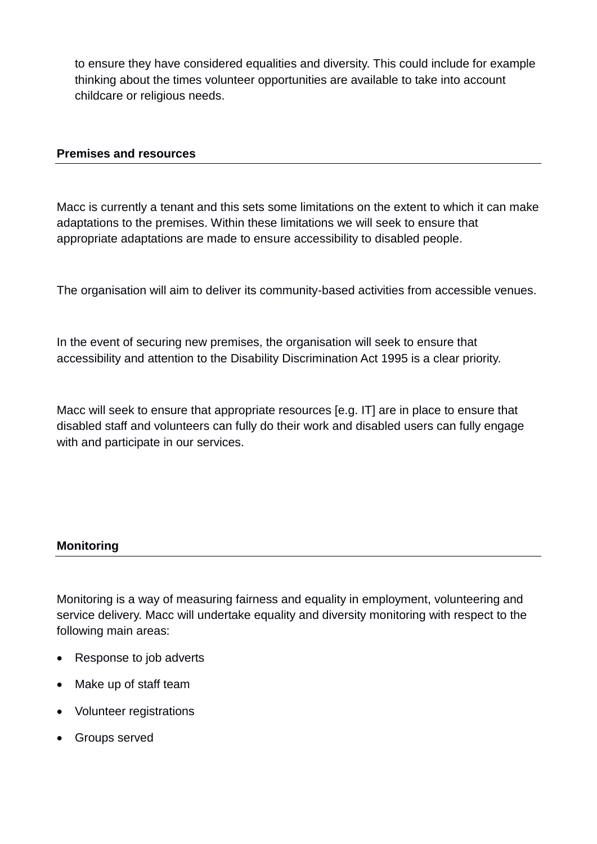to ensure they have considered equalities and diversity. This could include for example thinking about the times volunteer opportunities are available to take into account childcare or religious needs.

#### **Premises and resources**

Macc is currently a tenant and this sets some limitations on the extent to which it can make adaptations to the premises. Within these limitations we will seek to ensure that appropriate adaptations are made to ensure accessibility to disabled people.

The organisation will aim to deliver its community-based activities from accessible venues.

In the event of securing new premises, the organisation will seek to ensure that accessibility and attention to the Disability Discrimination Act 1995 is a clear priority.

Macc will seek to ensure that appropriate resources [e.g. IT] are in place to ensure that disabled staff and volunteers can fully do their work and disabled users can fully engage with and participate in our services.

#### **Monitoring**

Monitoring is a way of measuring fairness and equality in employment, volunteering and service delivery. Macc will undertake equality and diversity monitoring with respect to the following main areas:

- Response to job adverts
- Make up of staff team
- Volunteer registrations
- Groups served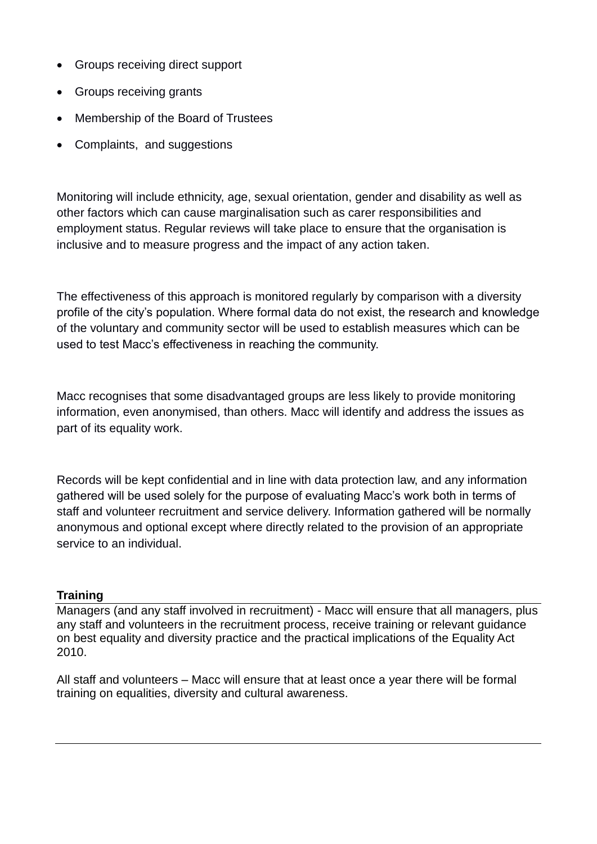- Groups receiving direct support
- Groups receiving grants
- Membership of the Board of Trustees
- Complaints, and suggestions

Monitoring will include ethnicity, age, sexual orientation, gender and disability as well as other factors which can cause marginalisation such as carer responsibilities and employment status. Regular reviews will take place to ensure that the organisation is inclusive and to measure progress and the impact of any action taken.

The effectiveness of this approach is monitored regularly by comparison with a diversity profile of the city's population. Where formal data do not exist, the research and knowledge of the voluntary and community sector will be used to establish measures which can be used to test Macc's effectiveness in reaching the community.

Macc recognises that some disadvantaged groups are less likely to provide monitoring information, even anonymised, than others. Macc will identify and address the issues as part of its equality work.

Records will be kept confidential and in line with data protection law, and any information gathered will be used solely for the purpose of evaluating Macc's work both in terms of staff and volunteer recruitment and service delivery. Information gathered will be normally anonymous and optional except where directly related to the provision of an appropriate service to an individual.

# **Training**

Managers (and any staff involved in recruitment) - Macc will ensure that all managers, plus any staff and volunteers in the recruitment process, receive training or relevant guidance on best equality and diversity practice and the practical implications of the Equality Act 2010.

All staff and volunteers – Macc will ensure that at least once a year there will be formal training on equalities, diversity and cultural awareness.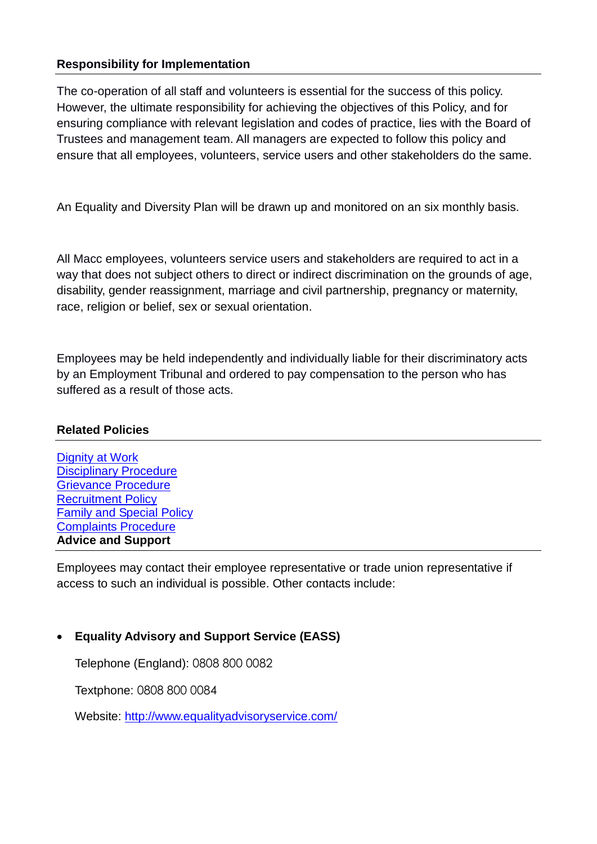### **Responsibility for Implementation**

The co-operation of all staff and volunteers is essential for the success of this policy. However, the ultimate responsibility for achieving the objectives of this Policy, and for ensuring compliance with relevant legislation and codes of practice, lies with the Board of Trustees and management team. All managers are expected to follow this policy and ensure that all employees, volunteers, service users and other stakeholders do the same.

An Equality and Diversity Plan will be drawn up and monitored on an six monthly basis.

All Macc employees, volunteers service users and stakeholders are required to act in a way that does not subject others to direct or indirect discrimination on the grounds of age, disability, gender reassignment, marriage and civil partnership, pregnancy or maternity, race, religion or belief, sex or sexual orientation.

Employees may be held independently and individually liable for their discriminatory acts by an Employment Tribunal and ordered to pay compensation to the person who has suffered as a result of those acts.

# **Related Policies**

| <b>Dignity at Work</b>           |  |  |
|----------------------------------|--|--|
| <b>Disciplinary Procedure</b>    |  |  |
| <b>Grievance Procedure</b>       |  |  |
| <b>Recruitment Policy</b>        |  |  |
| <b>Family and Special Policy</b> |  |  |
| <b>Complaints Procedure</b>      |  |  |
| <b>Advice and Support</b>        |  |  |

Employees may contact their employee representative or trade union representative if access to such an individual is possible. Other contacts include:

# **Equality Advisory and Support Service (EASS)**

Telephone (England): 0808 800 0082

Textphone: 0808 800 0084

Website:<http://www.equalityadvisoryservice.com/>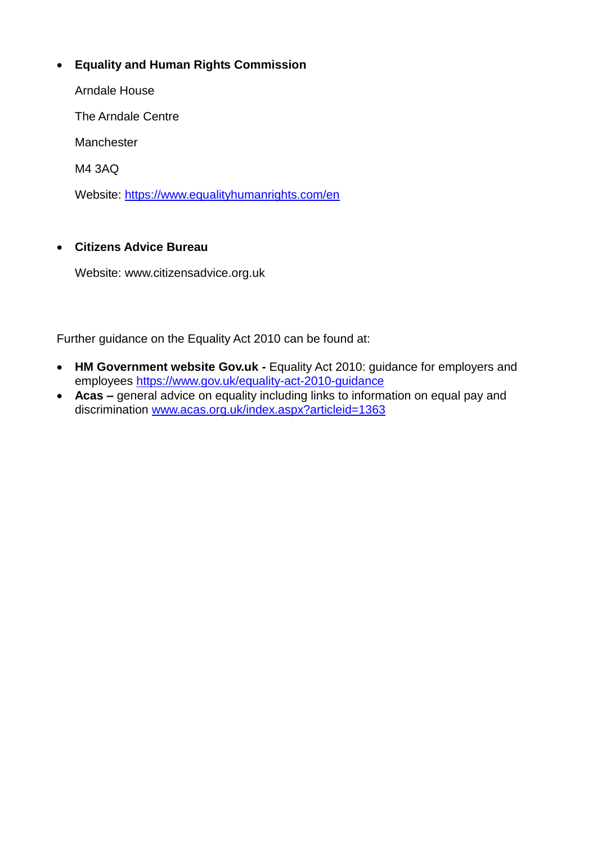# **Equality and Human Rights Commission**

Arndale House

The Arndale Centre

Manchester

M4 3AQ

Website:<https://www.equalityhumanrights.com/en>

#### **Citizens Advice Bureau**

Website: www.citizensadvice.org.uk

Further guidance on the Equality Act 2010 can be found at:

- **HM Government website Gov.uk -** Equality Act 2010: guidance for employers and employees<https://www.gov.uk/equality-act-2010-guidance>
- **Acas –** general advice on equality including links to information on equal pay and discrimination [www.acas.org.uk/index.aspx?articleid=1363](http://www.acas.org.uk/index.aspx?articleid=1363)